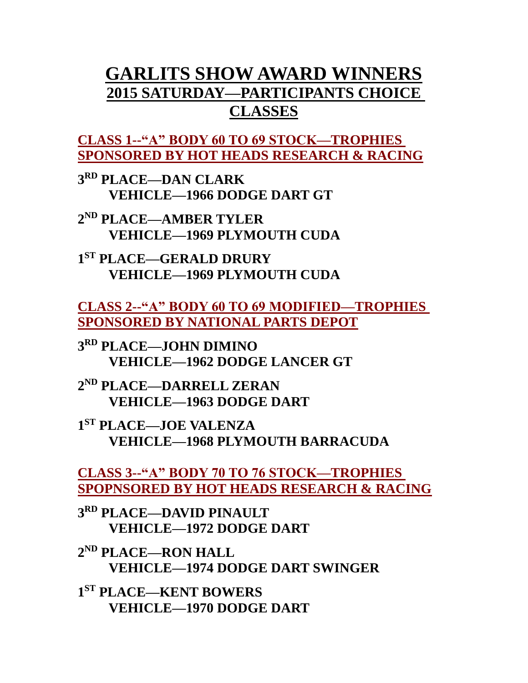# **GARLITS SHOW AWARD WINNERS 2015 SATURDAY—PARTICIPANTS CHOICE CLASSES**

**CLASS 1--"A" BODY 60 TO 69 STOCK—TROPHIES SPONSORED BY HOT HEADS RESEARCH & RACING**

**3 RD PLACE—DAN CLARK VEHICLE—1966 DODGE DART GT**

**2 ND PLACE—AMBER TYLER VEHICLE—1969 PLYMOUTH CUDA**

**1 ST PLACE—GERALD DRURY VEHICLE—1969 PLYMOUTH CUDA**

**CLASS 2--"A" BODY 60 TO 69 MODIFIED—TROPHIES SPONSORED BY NATIONAL PARTS DEPOT**

**3 RD PLACE—JOHN DIMINO VEHICLE—1962 DODGE LANCER GT**

**2 ND PLACE—DARRELL ZERAN VEHICLE—1963 DODGE DART**

**1 ST PLACE—JOE VALENZA VEHICLE—1968 PLYMOUTH BARRACUDA**

**CLASS 3--"A" BODY 70 TO 76 STOCK—TROPHIES SPOPNSORED BY HOT HEADS RESEARCH & RACING**

**3 RD PLACE—DAVID PINAULT VEHICLE—1972 DODGE DART**

**2 ND PLACE—RON HALL VEHICLE—1974 DODGE DART SWINGER**

**1 ST PLACE—KENT BOWERS VEHICLE—1970 DODGE DART**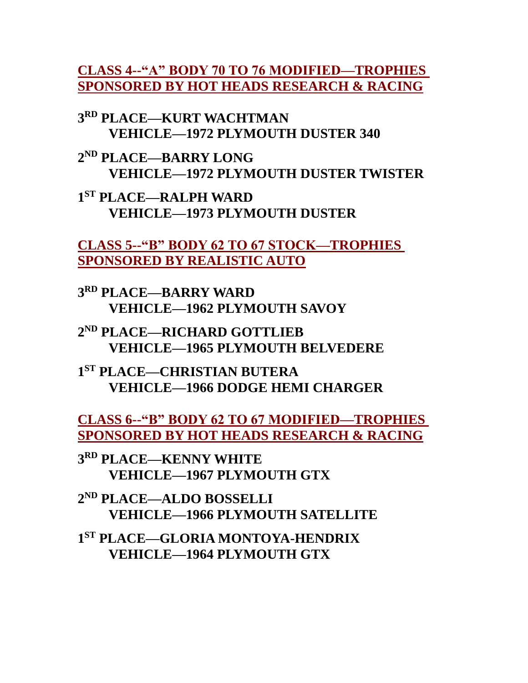**CLASS 4--"A" BODY 70 TO 76 MODIFIED—TROPHIES SPONSORED BY HOT HEADS RESEARCH & RACING**

**3 RD PLACE—KURT WACHTMAN VEHICLE—1972 PLYMOUTH DUSTER 340**

**2 ND PLACE—BARRY LONG VEHICLE—1972 PLYMOUTH DUSTER TWISTER**

**1 ST PLACE—RALPH WARD VEHICLE—1973 PLYMOUTH DUSTER**

**CLASS 5--"B" BODY 62 TO 67 STOCK—TROPHIES SPONSORED BY REALISTIC AUTO**

**3 RD PLACE—BARRY WARD VEHICLE—1962 PLYMOUTH SAVOY**

**2 ND PLACE—RICHARD GOTTLIEB VEHICLE—1965 PLYMOUTH BELVEDERE**

**1 ST PLACE—CHRISTIAN BUTERA VEHICLE—1966 DODGE HEMI CHARGER**

**CLASS 6--"B" BODY 62 TO 67 MODIFIED—TROPHIES SPONSORED BY HOT HEADS RESEARCH & RACING**

**3 RD PLACE—KENNY WHITE VEHICLE—1967 PLYMOUTH GTX**

**2 ND PLACE—ALDO BOSSELLI VEHICLE—1966 PLYMOUTH SATELLITE**

**1 ST PLACE—GLORIA MONTOYA-HENDRIX VEHICLE—1964 PLYMOUTH GTX**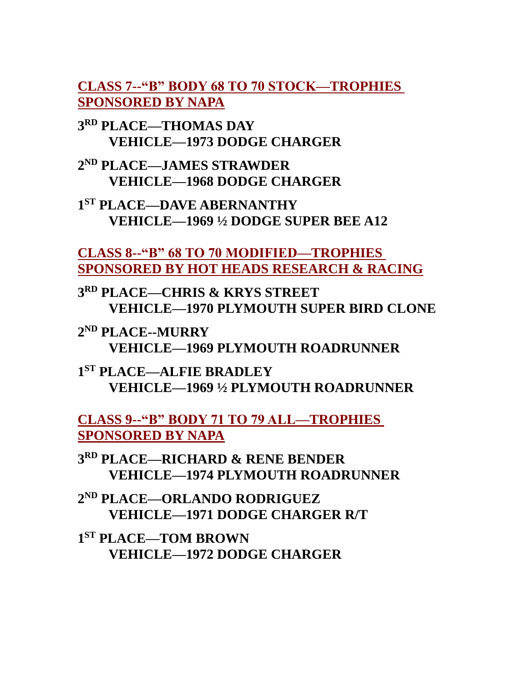**CLASS 7--"B" BODY 68 TO 70 STOCK—TROPHIES SPONSORED BY NAPA**

**3 RD PLACE—THOMAS DAY VEHICLE—1973 DODGE CHARGER**

**2 ND PLACE—JAMES STRAWDER VEHICLE—1968 DODGE CHARGER**

**1 ST PLACE—DAVE ABERNANTHY VEHICLE—1969 ½ DODGE SUPER BEE A12**

**CLASS 8--"B" 68 TO 70 MODIFIED—TROPHIES SPONSORED BY HOT HEADS RESEARCH & RACING**

**3 RD PLACE—CHRIS & KRYS STREET VEHICLE—1970 PLYMOUTH SUPER BIRD CLONE**

**2 ND PLACE--MURRY VEHICLE—1969 PLYMOUTH ROADRUNNER**

**1 ST PLACE—ALFIE BRADLEY VEHICLE—1969 ½ PLYMOUTH ROADRUNNER**

**CLASS 9--"B" BODY 71 TO 79 ALL—TROPHIES SPONSORED BY NAPA**

**3 RD PLACE—RICHARD & RENE BENDER VEHICLE—1974 PLYMOUTH ROADRUNNER**

**2 ND PLACE—ORLANDO RODRIGUEZ VEHICLE—1971 DODGE CHARGER R/T**

**1 ST PLACE—TOM BROWN VEHICLE—1972 DODGE CHARGER**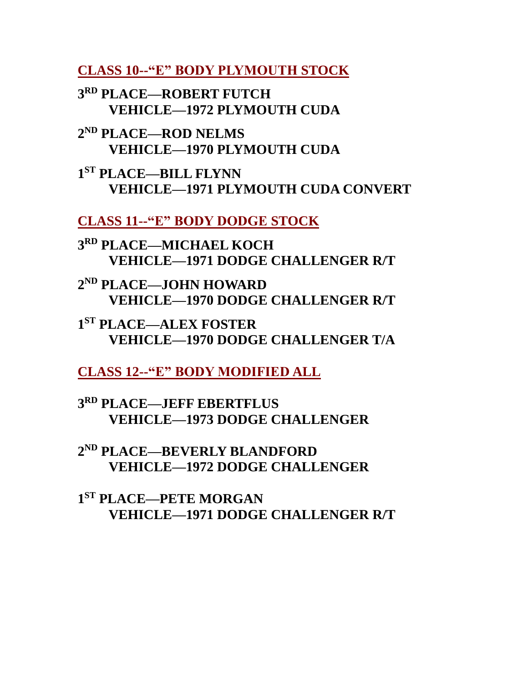**CLASS 10--"E" BODY PLYMOUTH STOCK**

**3 RD PLACE—ROBERT FUTCH VEHICLE—1972 PLYMOUTH CUDA**

**2 ND PLACE—ROD NELMS VEHICLE—1970 PLYMOUTH CUDA**

**1 ST PLACE—BILL FLYNN VEHICLE—1971 PLYMOUTH CUDA CONVERT**

**CLASS 11--"E" BODY DODGE STOCK**

**3 RD PLACE—MICHAEL KOCH VEHICLE—1971 DODGE CHALLENGER R/T**

**2 ND PLACE—JOHN HOWARD VEHICLE—1970 DODGE CHALLENGER R/T**

**1 ST PLACE—ALEX FOSTER VEHICLE—1970 DODGE CHALLENGER T/A**

**CLASS 12--"E" BODY MODIFIED ALL**

**3 RD PLACE—JEFF EBERTFLUS VEHICLE—1973 DODGE CHALLENGER**

**2 ND PLACE—BEVERLY BLANDFORD VEHICLE—1972 DODGE CHALLENGER**

**1 ST PLACE—PETE MORGAN VEHICLE—1971 DODGE CHALLENGER R/T**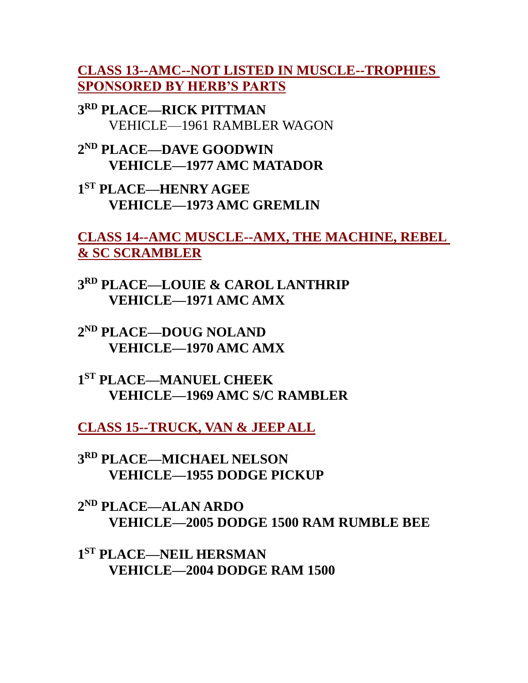**CLASS 13--AMC--NOT LISTED IN MUSCLE--TROPHIES SPONSORED BY HERB'S PARTS**

**3 RD PLACE—RICK PITTMAN** VEHICLE—1961 RAMBLER WAGON

**2 ND PLACE—DAVE GOODWIN VEHICLE—1977 AMC MATADOR**

**1 ST PLACE—HENRY AGEE VEHICLE—1973 AMC GREMLIN**

**CLASS 14--AMC MUSCLE--AMX, THE MACHINE, REBEL & SC SCRAMBLER**

**3 RD PLACE—LOUIE & CAROL LANTHRIP VEHICLE—1971 AMC AMX**

**2 ND PLACE—DOUG NOLAND VEHICLE—1970 AMC AMX**

**1 ST PLACE—MANUEL CHEEK VEHICLE—1969 AMC S/C RAMBLER**

**CLASS 15--TRUCK, VAN & JEEP ALL**

**3 RD PLACE—MICHAEL NELSON VEHICLE—1955 DODGE PICKUP**

**2 ND PLACE—ALAN ARDO VEHICLE—2005 DODGE 1500 RAM RUMBLE BEE**

**1 ST PLACE—NEIL HERSMAN VEHICLE—2004 DODGE RAM 1500**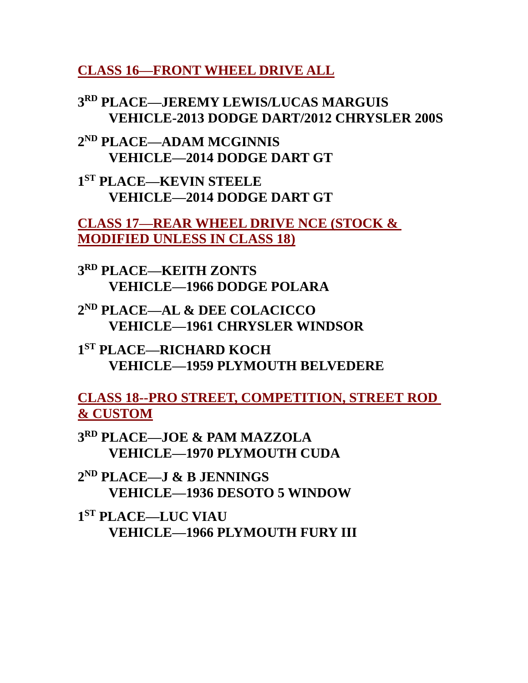**CLASS 16—FRONT WHEEL DRIVE ALL**

**3 RD PLACE—JEREMY LEWIS/LUCAS MARGUIS VEHICLE-2013 DODGE DART/2012 CHRYSLER 200S**

**2 ND PLACE—ADAM MCGINNIS VEHICLE—2014 DODGE DART GT**

**1 ST PLACE—KEVIN STEELE VEHICLE—2014 DODGE DART GT**

**CLASS 17—REAR WHEEL DRIVE NCE (STOCK & MODIFIED UNLESS IN CLASS 18)**

**3 RD PLACE—KEITH ZONTS VEHICLE—1966 DODGE POLARA**

**2 ND PLACE—AL & DEE COLACICCO VEHICLE—1961 CHRYSLER WINDSOR**

**1 ST PLACE—RICHARD KOCH VEHICLE—1959 PLYMOUTH BELVEDERE**

**CLASS 18--PRO STREET, COMPETITION, STREET ROD & CUSTOM**

**3 RD PLACE—JOE & PAM MAZZOLA VEHICLE—1970 PLYMOUTH CUDA**

**2 ND PLACE—J & B JENNINGS VEHICLE—1936 DESOTO 5 WINDOW**

**1 ST PLACE—LUC VIAU VEHICLE—1966 PLYMOUTH FURY III**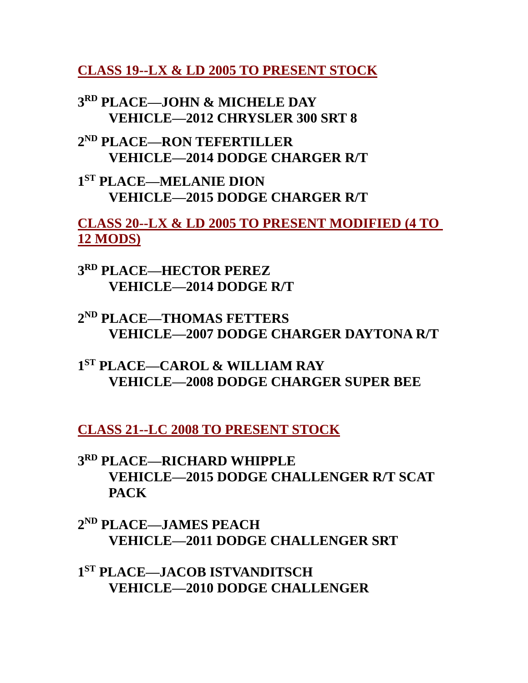**CLASS 19--LX & LD 2005 TO PRESENT STOCK**

**3 RD PLACE—JOHN & MICHELE DAY VEHICLE—2012 CHRYSLER 300 SRT 8**

**2 ND PLACE—RON TEFERTILLER VEHICLE—2014 DODGE CHARGER R/T**

**1 ST PLACE—MELANIE DION VEHICLE—2015 DODGE CHARGER R/T**

**CLASS 20--LX & LD 2005 TO PRESENT MODIFIED (4 TO 12 MODS)**

**3 RD PLACE—HECTOR PEREZ VEHICLE—2014 DODGE R/T** 

**2 ND PLACE—THOMAS FETTERS VEHICLE—2007 DODGE CHARGER DAYTONA R/T**

**1 ST PLACE—CAROL & WILLIAM RAY VEHICLE—2008 DODGE CHARGER SUPER BEE**

**CLASS 21--LC 2008 TO PRESENT STOCK**

**3 RD PLACE—RICHARD WHIPPLE VEHICLE—2015 DODGE CHALLENGER R/T SCAT PACK**

**2 ND PLACE—JAMES PEACH VEHICLE—2011 DODGE CHALLENGER SRT**

**1 ST PLACE—JACOB ISTVANDITSCH VEHICLE—2010 DODGE CHALLENGER**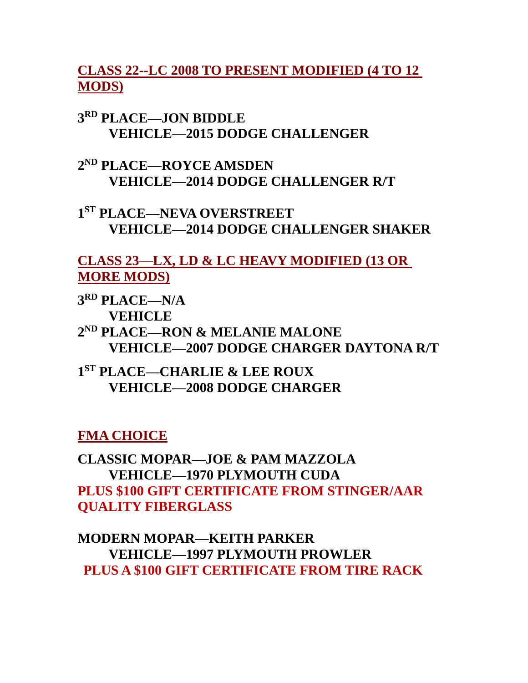# **CLASS 22--LC 2008 TO PRESENT MODIFIED (4 TO 12 MODS)**

**3 RD PLACE—JON BIDDLE VEHICLE—2015 DODGE CHALLENGER**

**2 ND PLACE—ROYCE AMSDEN VEHICLE—2014 DODGE CHALLENGER R/T**

**1 ST PLACE—NEVA OVERSTREET VEHICLE—2014 DODGE CHALLENGER SHAKER**

## **CLASS 23—LX, LD & LC HEAVY MODIFIED (13 OR MORE MODS)**

**3 RD PLACE—N/A VEHICLE**

**2 ND PLACE—RON & MELANIE MALONE VEHICLE—2007 DODGE CHARGER DAYTONA R/T**

**1 ST PLACE—CHARLIE & LEE ROUX VEHICLE—2008 DODGE CHARGER**

**FMA CHOICE**

**CLASSIC MOPAR—JOE & PAM MAZZOLA VEHICLE—1970 PLYMOUTH CUDA PLUS \$100 GIFT CERTIFICATE FROM STINGER/AAR QUALITY FIBERGLASS**

**MODERN MOPAR—KEITH PARKER VEHICLE—1997 PLYMOUTH PROWLER PLUS A \$100 GIFT CERTIFICATE FROM TIRE RACK**